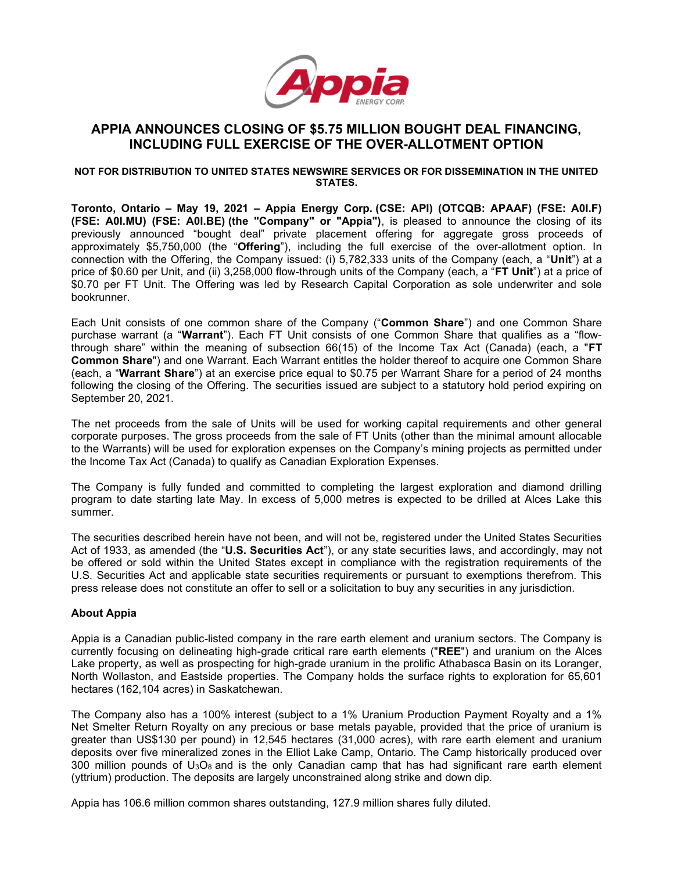

# APPIA ANNOUNCES CLOSING OF \$5.75 MILLION BOUGHT DEAL FINANCING, INCLUDING FULL EXERCISE OF THE OVER-ALLOTMENT OPTION

#### NOT FOR DISTRIBUTION TO UNITED STATES NEWSWIRE SERVICES OR FOR DISSEMINATION IN THE UNITED STATES.

Toronto, Ontario – May 19, 2021 – Appia Energy Corp. (CSE: API) (OTCQB: APAAF) (FSE: A0I.F) (FSE: A0I.MU) (FSE: A0I.BE) (the "Company" or "Appia"), is pleased to announce the closing of its previously announced "bought deal" private placement offering for aggregate gross proceeds of approximately \$5,750,000 (the "Offering"), including the full exercise of the over-allotment option. In connection with the Offering, the Company issued: (i) 5,782,333 units of the Company (each, a "Unit") at a price of \$0.60 per Unit, and (ii) 3,258,000 flow-through units of the Company (each, a "FT Unit") at a price of \$0.70 per FT Unit. The Offering was led by Research Capital Corporation as sole underwriter and sole bookrunner.

Each Unit consists of one common share of the Company ("Common Share") and one Common Share purchase warrant (a "Warrant"). Each FT Unit consists of one Common Share that qualifies as a "flowthrough share" within the meaning of subsection  $66(15)$  of the Income Tax Act (Canada) (each, a "FT Common Share") and one Warrant. Each Warrant entitles the holder thereof to acquire one Common Share (each, a "Warrant Share") at an exercise price equal to \$0.75 per Warrant Share for a period of 24 months following the closing of the Offering. The securities issued are subject to a statutory hold period expiring on September 20, 2021.

The net proceeds from the sale of Units will be used for working capital requirements and other general corporate purposes. The gross proceeds from the sale of FT Units (other than the minimal amount allocable to the Warrants) will be used for exploration expenses on the Company's mining projects as permitted under the Income Tax Act (Canada) to qualify as Canadian Exploration Expenses.

The Company is fully funded and committed to completing the largest exploration and diamond drilling program to date starting late May. In excess of 5,000 metres is expected to be drilled at Alces Lake this summer.

The securities described herein have not been, and will not be, registered under the United States Securities Act of 1933, as amended (the "U.S. Securities Act"), or any state securities laws, and accordingly, may not be offered or sold within the United States except in compliance with the registration requirements of the U.S. Securities Act and applicable state securities requirements or pursuant to exemptions therefrom. This press release does not constitute an offer to sell or a solicitation to buy any securities in any jurisdiction.

# About Appia

Appia is a Canadian public-listed company in the rare earth element and uranium sectors. The Company is currently focusing on delineating high-grade critical rare earth elements ("REE") and uranium on the Alces Lake property, as well as prospecting for high-grade uranium in the prolific Athabasca Basin on its Loranger, North Wollaston, and Eastside properties. The Company holds the surface rights to exploration for 65,601 hectares (162,104 acres) in Saskatchewan.

The Company also has a 100% interest (subject to a 1% Uranium Production Payment Royalty and a 1% Net Smelter Return Royalty on any precious or base metals payable, provided that the price of uranium is greater than US\$130 per pound) in 12,545 hectares (31,000 acres), with rare earth element and uranium deposits over five mineralized zones in the Elliot Lake Camp, Ontario. The Camp historically produced over 300 million pounds of  $U_3O_8$  and is the only Canadian camp that has had significant rare earth element (yttrium) production. The deposits are largely unconstrained along strike and down dip.

Appia has 106.6 million common shares outstanding, 127.9 million shares fully diluted.